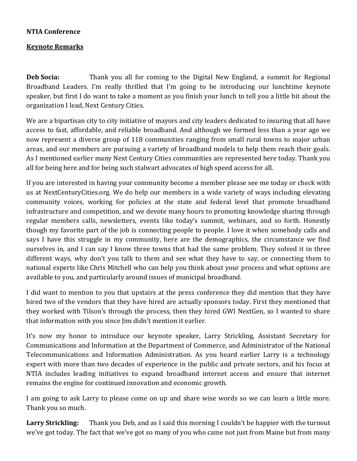## **NTIA Conference**

## **Keynote Remarks**

**Deb Socia:** Thank you all for coming to the Digital New England, a summit for Regional Broadband Leaders. I'm really thrilled that I'm going to be introducing our lunchtime keynote speaker, but first I do want to take a moment as you finish your lunch to tell you a little bit about the organization I lead, Next Century Cities.

We are a bipartisan city to city initiative of mayors and city leaders dedicated to insuring that all have access to fast, affordable, and reliable broadband. And although we formed less than a year ago we now represent a diverse group of 118 communities ranging from small rural towns to major urban areas, and our members are pursuing a variety of broadband models to help them reach their goals. As I mentioned earlier many Next Century Cities communities are represented here today. Thank you all for being here and for being such stalwart advocates of high speed access for all.

If you are interested in having your community become a member please see me today or check with us at NextCenturyCities.org. We do help our members in a wide variety of ways including elevating community voices, working for policies at the state and federal level that promote broadband infrastructure and competition, and we devote many hours to promoting knowledge sharing through regular members calls, newsletters, events like today's summit, webinars, and so forth. Honestly though my favorite part of the job is connecting people to people. I love it when somebody calls and says I have this struggle in my community, here are the demographics, the circumstance we find ourselves in, and I can say I know three towns that had the same problem. They solved it in three different ways, why don't you talk to them and see what they have to say, or connecting them to national experts like Chris Mitchell who can help you think about your process and what options are available to you, and particularly around issues of municipal broadband.

I did want to mention to you that upstairs at the press conference they did mention that they have hired two of the vendors that they have hired are actually sponsors today. First they mentioned that they worked with Tilson's through the process, then they hired GWI NextGen, so I wanted to share that information with you since Jim didn't mention it earlier.

It's now my honor to introduce our keynote speaker, Larry Strickling, Assistant Secretary for Communications and Information at the Department of Commerce, and Administrator of the National Telecommunications and Information Administration. As you heard earlier Larry is a technology expert with more than two decades of experience in the public and private sectors, and his focus at NTIA includes leading initiatives to expand broadband internet access and ensure that internet remains the engine for continued innovation and economic growth.

I am going to ask Larry to please come on up and share wise words so we can learn a little more. Thank you so much.

**Larry Strickling:** Thank you Deb, and as I said this morning I couldn't be happier with the turnout we've got today. The fact that we've got so many of you who came not just from Maine but from many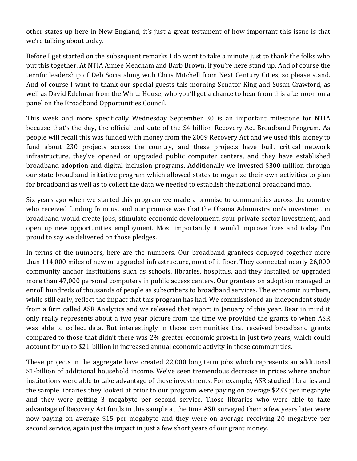other states up here in New England, it's just a great testament of how important this issue is that we're talking about today.

Before I get started on the subsequent remarks I do want to take a minute just to thank the folks who put this together. At NTIA Aimee Meacham and Barb Brown, if you're here stand up. And of course the terrific leadership of Deb Socia along with Chris Mitchell from Next Century Cities, so please stand. And of course I want to thank our special guests this morning Senator King and Susan Crawford, as well as David Edelman from the White House, who you'll get a chance to hear from this afternoon on a panel on the Broadband Opportunities Council.

This week and more specifically Wednesday September 30 is an important milestone for NTIA because that's the day, the official end date of the \$4-billion Recovery Act Broadband Program. As people will recall this was funded with money from the 2009 Recovery Act and we used this money to fund about 230 projects across the country, and these projects have built critical network infrastructure, they've opened or upgraded public computer centers, and they have established broadband adoption and digital inclusion programs. Additionally we invested \$300-million through our state broadband initiative program which allowed states to organize their own activities to plan for broadband as well as to collect the data we needed to establish the national broadband map.

Six years ago when we started this program we made a promise to communities across the country who received funding from us, and our promise was that the Obama Administration's investment in broadband would create jobs, stimulate economic development, spur private sector investment, and open up new opportunities employment. Most importantly it would improve lives and today I'm proud to say we delivered on those pledges.

In terms of the numbers, here are the numbers. Our broadband grantees deployed together more than 114,000 miles of new or upgraded infrastructure, most of it fiber. They connected nearly 26,000 community anchor institutions such as schools, libraries, hospitals, and they installed or upgraded more than 47,000 personal computers in public access centers. Our grantees on adoption managed to enroll hundreds of thousands of people as subscribers to broadband services. The economic numbers, while still early, reflect the impact that this program has had. We commissioned an independent study from a firm called ASR Analytics and we released that report in January of this year. Bear in mind it only really represents about a two year picture from the time we provided the grants to when ASR was able to collect data. But interestingly in those communities that received broadband grants compared to those that didn't there was 2% greater economic growth in just two years, which could account for up to \$21-billion in increased annual economic activity in those communities.

These projects in the aggregate have created 22,000 long term jobs which represents an additional \$1-billion of additional household income. We've seen tremendous decrease in prices where anchor institutions were able to take advantage of these investments. For example, ASR studied libraries and the sample libraries they looked at prior to our program were paying on average \$233 per megabyte and they were getting 3 megabyte per second service. Those libraries who were able to take advantage of Recovery Act funds in this sample at the time ASR surveyed them a few years later were now paying on average \$15 per megabyte and they were on average receiving 20 megabyte per second service, again just the impact in just a few short years of our grant money.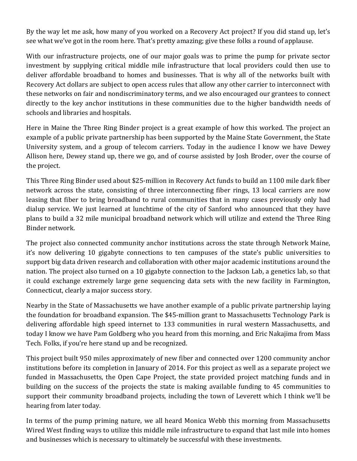By the way let me ask, how many of you worked on a Recovery Act project? If you did stand up, let's see what we've got in the room here. That's pretty amazing; give these folks a round of applause.

With our infrastructure projects, one of our major goals was to prime the pump for private sector investment by supplying critical middle mile infrastructure that local providers could then use to deliver affordable broadband to homes and businesses. That is why all of the networks built with Recovery Act dollars are subject to open access rules that allow any other carrier to interconnect with these networks on fair and nondiscriminatory terms, and we also encouraged our grantees to connect directly to the key anchor institutions in these communities due to the higher bandwidth needs of schools and libraries and hospitals.

Here in Maine the Three Ring Binder project is a great example of how this worked. The project an example of a public private partnership has been supported by the Maine State Government, the State University system, and a group of telecom carriers. Today in the audience I know we have Dewey Allison here, Dewey stand up, there we go, and of course assisted by Josh Broder, over the course of the project.

This Three Ring Binder used about \$25-million in Recovery Act funds to build an 1100 mile dark fiber network across the state, consisting of three interconnecting fiber rings, 13 local carriers are now leasing that fiber to bring broadband to rural communities that in many cases previously only had dialup service. We just learned at lunchtime of the city of Sanford who announced that they have plans to build a 32 mile municipal broadband network which will utilize and extend the Three Ring Binder network.

The project also connected community anchor institutions across the state through Network Maine, it's now delivering 10 gigabyte connections to ten campuses of the state's public universities to support big data driven research and collaboration with other major academic institutions around the nation. The project also turned on a 10 gigabyte connection to the Jackson Lab, a genetics lab, so that it could exchange extremely large gene sequencing data sets with the new facility in Farmington, Connecticut, clearly a major success story.

Nearby in the State of Massachusetts we have another example of a public private partnership laying the foundation for broadband expansion. The \$45-million grant to Massachusetts Technology Park is delivering affordable high speed internet to 133 communities in rural western Massachusetts, and today I know we have Pam Goldberg who you heard from this morning, and Eric Nakajima from Mass Tech. Folks, if you're here stand up and be recognized.

This project built 950 miles approximately of new fiber and connected over 1200 community anchor institutions before its completion in January of 2014. For this project as well as a separate project we funded in Massachusetts, the Open Cape Project, the state provided project matching funds and in building on the success of the projects the state is making available funding to 45 communities to support their community broadband projects, including the town of Leverett which I think we'll be hearing from later today.

In terms of the pump priming nature, we all heard Monica Webb this morning from Massachusetts Wired West finding ways to utilize this middle mile infrastructure to expand that last mile into homes and businesses which is necessary to ultimately be successful with these investments.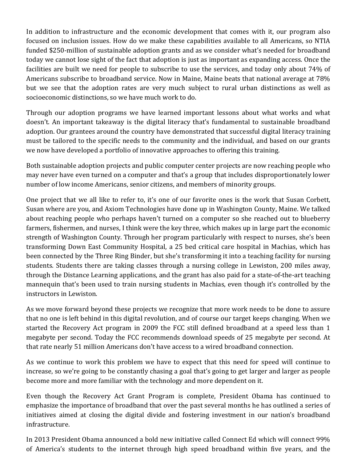In addition to infrastructure and the economic development that comes with it, our program also focused on inclusion issues. How do we make these capabilities available to all Americans, so NTIA funded \$250-million of sustainable adoption grants and as we consider what's needed for broadband today we cannot lose sight of the fact that adoption is just as important as expanding access. Once the facilities are built we need for people to subscribe to use the services, and today only about 74% of Americans subscribe to broadband service. Now in Maine, Maine beats that national average at 78% but we see that the adoption rates are very much subject to rural urban distinctions as well as socioeconomic distinctions, so we have much work to do.

Through our adoption programs we have learned important lessons about what works and what doesn't. An important takeaway is the digital literacy that's fundamental to sustainable broadband adoption. Our grantees around the country have demonstrated that successful digital literacy training must be tailored to the specific needs to the community and the individual, and based on our grants we now have developed a portfolio of innovative approaches to offering this training.

Both sustainable adoption projects and public computer center projects are now reaching people who may never have even turned on a computer and that's a group that includes disproportionately lower number of low income Americans, senior citizens, and members of minority groups.

One project that we all like to refer to, it's one of our favorite ones is the work that Susan Corbett, Susan where are you, and Axiom Technologies have done up in Washington County, Maine. We talked about reaching people who perhaps haven't turned on a computer so she reached out to blueberry farmers, fishermen, and nurses, I think were the key three, which makes up in large part the economic strength of Washington County. Through her program particularly with respect to nurses, she's been transforming Down East Community Hospital, a 25 bed critical care hospital in Machias, which has been connected by the Three Ring Binder, but she's transforming it into a teaching facility for nursing students. Students there are taking classes through a nursing college in Lewiston, 200 miles away, through the Distance Learning applications, and the grant has also paid for a state-of-the-art teaching mannequin that's been used to train nursing students in Machias, even though it's controlled by the instructors in Lewiston.

As we move forward beyond these projects we recognize that more work needs to be done to assure that no one is left behind in this digital revolution, and of course our target keeps changing. When we started the Recovery Act program in 2009 the FCC still defined broadband at a speed less than 1 megabyte per second. Today the FCC recommends download speeds of 25 megabyte per second. At that rate nearly 51 million Americans don't have access to a wired broadband connection.

As we continue to work this problem we have to expect that this need for speed will continue to increase, so we're going to be constantly chasing a goal that's going to get larger and larger as people become more and more familiar with the technology and more dependent on it.

Even though the Recovery Act Grant Program is complete, President Obama has continued to emphasize the importance of broadband that over the past several months he has outlined a series of initiatives aimed at closing the digital divide and fostering investment in our nation's broadband infrastructure.

In 2013 President Obama announced a bold new initiative called Connect Ed which will connect 99% of America's students to the internet through high speed broadband within five years, and the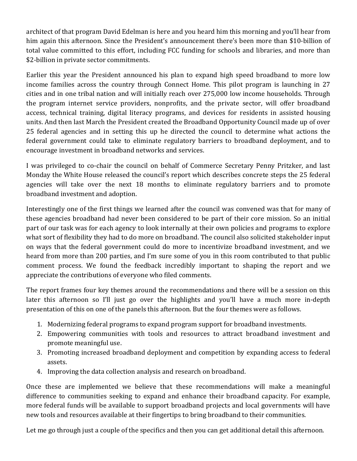architect of that program David Edelman is here and you heard him this morning and you'll hear from him again this afternoon. Since the President's announcement there's been more than \$10-billion of total value committed to this effort, including FCC funding for schools and libraries, and more than \$2-billion in private sector commitments.

Earlier this year the President announced his plan to expand high speed broadband to more low income families across the country through Connect Home. This pilot program is launching in 27 cities and in one tribal nation and will initially reach over 275,000 low income households. Through the program internet service providers, nonprofits, and the private sector, will offer broadband access, technical training, digital literacy programs, and devices for residents in assisted housing units. And then last March the President created the Broadband Opportunity Council made up of over 25 federal agencies and in setting this up he directed the council to determine what actions the federal government could take to eliminate regulatory barriers to broadband deployment, and to encourage investment in broadband networks and services.

I was privileged to co-chair the council on behalf of Commerce Secretary Penny Pritzker, and last Monday the White House released the council's report which describes concrete steps the 25 federal agencies will take over the next 18 months to eliminate regulatory barriers and to promote broadband investment and adoption.

Interestingly one of the first things we learned after the council was convened was that for many of these agencies broadband had never been considered to be part of their core mission. So an initial part of our task was for each agency to look internally at their own policies and programs to explore what sort of flexibility they had to do more on broadband. The council also solicited stakeholder input on ways that the federal government could do more to incentivize broadband investment, and we heard from more than 200 parties, and I'm sure some of you in this room contributed to that public comment process. We found the feedback incredibly important to shaping the report and we appreciate the contributions of everyone who filed comments.

The report frames four key themes around the recommendations and there will be a session on this later this afternoon so I'll just go over the highlights and you'll have a much more in-depth presentation of this on one of the panels this afternoon. But the four themes were as follows.

- 1. Modernizing federal programs to expand program support for broadband investments.
- 2. Empowering communities with tools and resources to attract broadband investment and promote meaningful use.
- 3. Promoting increased broadband deployment and competition by expanding access to federal assets.
- 4. Improving the data collection analysis and research on broadband.

Once these are implemented we believe that these recommendations will make a meaningful difference to communities seeking to expand and enhance their broadband capacity. For example, more federal funds will be available to support broadband projects and local governments will have new tools and resources available at their fingertips to bring broadband to their communities.

Let me go through just a couple of the specifics and then you can get additional detail this afternoon.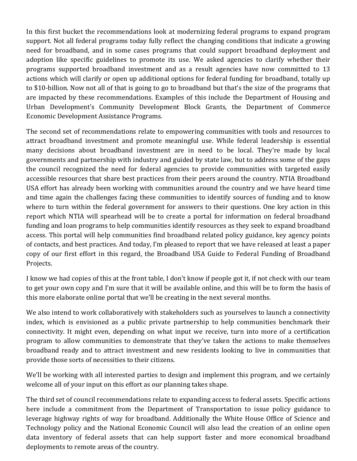In this first bucket the recommendations look at modernizing federal programs to expand program support. Not all federal programs today fully reflect the changing conditions that indicate a growing need for broadband, and in some cases programs that could support broadband deployment and adoption like specific guidelines to promote its use. We asked agencies to clarify whether their programs supported broadband investment and as a result agencies have now committed to 13 actions which will clarify or open up additional options for federal funding for broadband, totally up to \$10-billion. Now not all of that is going to go to broadband but that's the size of the programs that are impacted by these recommendations. Examples of this include the Department of Housing and Urban Development's Community Development Block Grants, the Department of Commerce Economic Development Assistance Programs.

The second set of recommendations relate to empowering communities with tools and resources to attract broadband investment and promote meaningful use. While federal leadership is essential many decisions about broadband investment are in need to be local. They're made by local governments and partnership with industry and guided by state law, but to address some of the gaps the council recognized the need for federal agencies to provide communities with targeted easily accessible resources that share best practices from their peers around the country. NTIA Broadband USA effort has already been working with communities around the country and we have heard time and time again the challenges facing these communities to identify sources of funding and to know where to turn within the federal government for answers to their questions. One key action in this report which NTIA will spearhead will be to create a portal for information on federal broadband funding and loan programs to help communities identify resources as they seek to expand broadband access. This portal will help communities find broadband related policy guidance, key agency points of contacts, and best practices. And today, I'm pleased to report that we have released at least a paper copy of our first effort in this regard, the Broadband USA Guide to Federal Funding of Broadband Projects.

I know we had copies of this at the front table, I don't know if people got it, if not check with our team to get your own copy and I'm sure that it will be available online, and this will be to form the basis of this more elaborate online portal that we'll be creating in the next several months.

We also intend to work collaboratively with stakeholders such as yourselves to launch a connectivity index, which is envisioned as a public private partnership to help communities benchmark their connectivity. It might even, depending on what input we receive, turn into more of a certification program to allow communities to demonstrate that they've taken the actions to make themselves broadband ready and to attract investment and new residents looking to live in communities that provide those sorts of necessities to their citizens.

We'll be working with all interested parties to design and implement this program, and we certainly welcome all of your input on this effort as our planning takes shape.

The third set of council recommendations relate to expanding access to federal assets. Specific actions here include a commitment from the Department of Transportation to issue policy guidance to leverage highway rights of way for broadband. Additionally the White House Office of Science and Technology policy and the National Economic Council will also lead the creation of an online open data inventory of federal assets that can help support faster and more economical broadband deployments to remote areas of the country.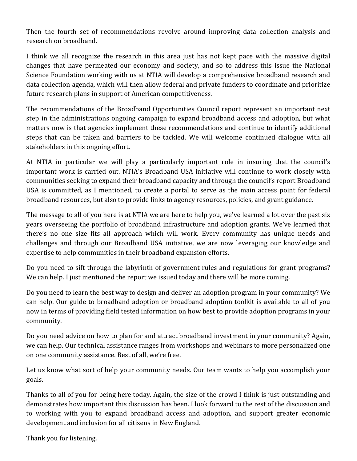Then the fourth set of recommendations revolve around improving data collection analysis and research on broadband.

I think we all recognize the research in this area just has not kept pace with the massive digital changes that have permeated our economy and society, and so to address this issue the National Science Foundation working with us at NTIA will develop a comprehensive broadband research and data collection agenda, which will then allow federal and private funders to coordinate and prioritize future research plans in support of American competitiveness.

The recommendations of the Broadband Opportunities Council report represent an important next step in the administrations ongoing campaign to expand broadband access and adoption, but what matters now is that agencies implement these recommendations and continue to identify additional steps that can be taken and barriers to be tackled. We will welcome continued dialogue with all stakeholders in this ongoing effort.

At NTIA in particular we will play a particularly important role in insuring that the council's important work is carried out. NTIA's Broadband USA initiative will continue to work closely with communities seeking to expand their broadband capacity and through the council's report Broadband USA is committed, as I mentioned, to create a portal to serve as the main access point for federal broadband resources, but also to provide links to agency resources, policies, and grant guidance.

The message to all of you here is at NTIA we are here to help you, we've learned a lot over the past six years overseeing the portfolio of broadband infrastructure and adoption grants. We've learned that there's no one size fits all approach which will work. Every community has unique needs and challenges and through our Broadband USA initiative, we are now leveraging our knowledge and expertise to help communities in their broadband expansion efforts.

Do you need to sift through the labyrinth of government rules and regulations for grant programs? We can help. I just mentioned the report we issued today and there will be more coming.

Do you need to learn the best way to design and deliver an adoption program in your community? We can help. Our guide to broadband adoption or broadband adoption toolkit is available to all of you now in terms of providing field tested information on how best to provide adoption programs in your community.

Do you need advice on how to plan for and attract broadband investment in your community? Again, we can help. Our technical assistance ranges from workshops and webinars to more personalized one on one community assistance. Best of all, we're free.

Let us know what sort of help your community needs. Our team wants to help you accomplish your goals.

Thanks to all of you for being here today. Again, the size of the crowd I think is just outstanding and demonstrates how important this discussion has been. I look forward to the rest of the discussion and to working with you to expand broadband access and adoption, and support greater economic development and inclusion for all citizens in New England.

Thank you for listening.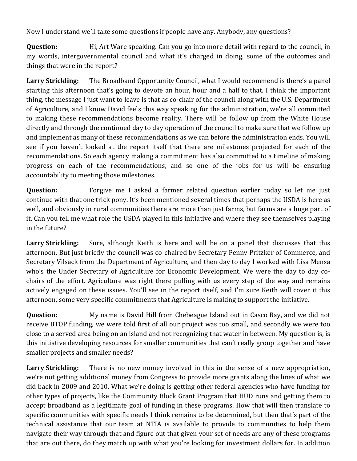Now I understand we'll take some questions if people have any. Anybody, any questions?

**Question:** Hi, Art Ware speaking. Can you go into more detail with regard to the council, in my words, intergovernmental council and what it's charged in doing, some of the outcomes and things that were in the report?

**Larry Strickling:** The Broadband Opportunity Council, what I would recommend is there's a panel starting this afternoon that's going to devote an hour, hour and a half to that. I think the important thing, the message I just want to leave is that as co-chair of the council along with the U.S. Department of Agriculture, and I know David feels this way speaking for the administration, we're all committed to making these recommendations become reality. There will be follow up from the White House directly and through the continued day to day operation of the council to make sure that we follow up and implement as many of these recommendations as we can before the administration ends. You will see if you haven't looked at the report itself that there are milestones projected for each of the recommendations. So each agency making a commitment has also committed to a timeline of making progress on each of the recommendations, and so one of the jobs for us will be ensuring accountability to meeting those milestones.

**Question:** Forgive me I asked a farmer related question earlier today so let me just continue with that one trick pony. It's been mentioned several times that perhaps the USDA is here as well, and obviously in rural communities there are more than just farms, but farms are a huge part of it. Can you tell me what role the USDA played in this initiative and where they see themselves playing in the future?

Larry Strickling: Sure, although Keith is here and will be on a panel that discusses that this afternoon. But just briefly the council was co-chaired by Secretary Penny Pritzker of Commerce, and Secretary Vilsack from the Department of Agriculture, and then day to day I worked with Lisa Mensa who's the Under Secretary of Agriculture for Economic Development. We were the day to day cochairs of the effort. Agriculture was right there pulling with us every step of the way and remains actively engaged on these issues. You'll see in the report itself, and I'm sure Keith will cover it this afternoon, some very specific commitments that Agriculture is making to support the initiative.

**Question:** My name is David Hill from Chebeague Island out in Casco Bay, and we did not receive BTOP funding, we were told first of all our project was too small, and secondly we were too close to a served area being on an island and not recognizing that water in between. My question is, is this initiative developing resources for smaller communities that can't really group together and have smaller projects and smaller needs?

**Larry Strickling:** There is no new money involved in this in the sense of a new appropriation, we're not getting additional money from Congress to provide more grants along the lines of what we did back in 2009 and 2010. What we're doing is getting other federal agencies who have funding for other types of projects, like the Community Block Grant Program that HUD runs and getting them to accept broadband as a legitimate goal of funding in these programs. How that will then translate to specific communities with specific needs I think remains to be determined, but then that's part of the technical assistance that our team at NTIA is available to provide to communities to help them navigate their way through that and figure out that given your set of needs are any of these programs that are out there, do they match up with what you're looking for investment dollars for. In addition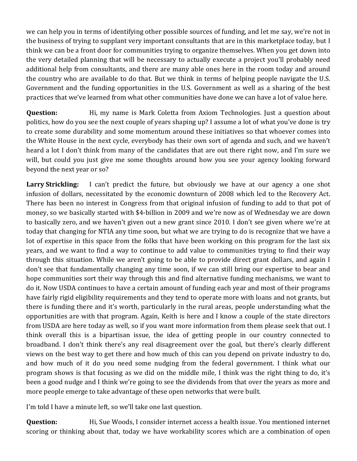we can help you in terms of identifying other possible sources of funding, and let me say, we're not in the business of trying to supplant very important consultants that are in this marketplace today, but I think we can be a front door for communities trying to organize themselves. When you get down into the very detailed planning that will be necessary to actually execute a project you'll probably need additional help from consultants, and there are many able ones here in the room today and around the country who are available to do that. But we think in terms of helping people navigate the U.S. Government and the funding opportunities in the U.S. Government as well as a sharing of the best practices that we've learned from what other communities have done we can have a lot of value here.

**Question:** Hi, my name is Mark Coletta from Axiom Technologies. Just a question about politics, how do you see the next couple of years shaping up? I assume a lot of what you've done is try to create some durability and some momentum around these initiatives so that whoever comes into the White House in the next cycle, everybody has their own sort of agenda and such, and we haven't heard a lot I don't think from many of the candidates that are out there right now, and I'm sure we will, but could you just give me some thoughts around how you see your agency looking forward beyond the next year or so?

Larry Strickling: I can't predict the future, but obviously we have at our agency a one shot infusion of dollars, necessitated by the economic downturn of 2008 which led to the Recovery Act. There has been no interest in Congress from that original infusion of funding to add to that pot of money, so we basically started with \$4-billion in 2009 and we're now as of Wednesday we are down to basically zero, and we haven't given out a new grant since 2010. I don't see given where we're at today that changing for NTIA any time soon, but what we are trying to do is recognize that we have a lot of expertise in this space from the folks that have been working on this program for the last six years, and we want to find a way to continue to add value to communities trying to find their way through this situation. While we aren't going to be able to provide direct grant dollars, and again I don't see that fundamentally changing any time soon, if we can still bring our expertise to bear and hope communities sort their way through this and find alternative funding mechanisms, we want to do it. Now USDA continues to have a certain amount of funding each year and most of their programs have fairly rigid eligibility requirements and they tend to operate more with loans and not grants, but there is funding there and it's worth, particularly in the rural areas, people understanding what the opportunities are with that program. Again, Keith is here and I know a couple of the state directors from USDA are here today as well, so if you want more information from them please seek that out. I think overall this is a bipartisan issue, the idea of getting people in our country connected to broadband. I don't think there's any real disagreement over the goal, but there's clearly different views on the best way to get there and how much of this can you depend on private industry to do, and how much of it do you need some nudging from the federal government. I think what our program shows is that focusing as we did on the middle mile, I think was the right thing to do, it's been a good nudge and I think we're going to see the dividends from that over the years as more and more people emerge to take advantage of these open networks that were built.

I'm told I have a minute left, so we'll take one last question.

**Question:** Hi, Sue Woods, I consider internet access a health issue. You mentioned internet scoring or thinking about that, today we have workability scores which are a combination of open